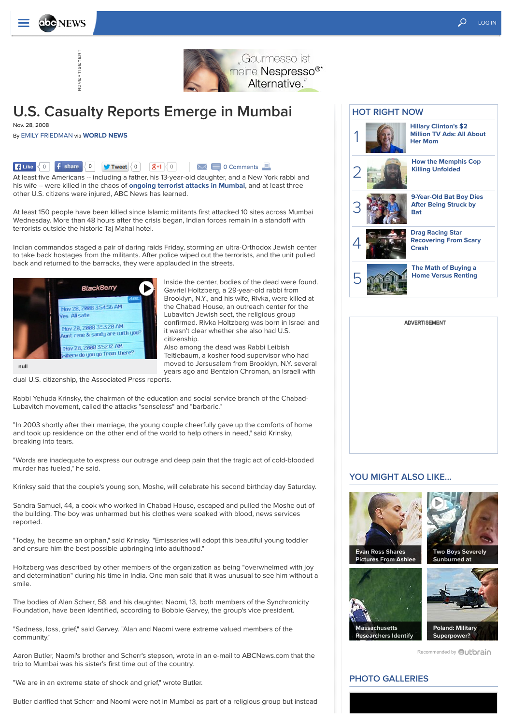





# **U.S. Casualty Reports Emerge in Mumbai**

Nov. 28, 2008 By [EMILY FRIEDMAN](http://abcnews.go.com/author/emily_friedman) via **[WORLD NEWS](http://abcnews.go.com/wn)**

RDVERTISEMENT

|--|--|--|--|--|

At least five Americans -- including a father, his 13-year-old daughter, and a New York rabbi and his wife -- were killed in the chaos of **[ongoing terrorist attacks in Mumbai](http://abcnews.go.com/International/story?id=6353126&page=1)**, and at least three other U.S. citizens were injured, ABC News has learned.

At least 150 people have been killed since Islamic militants first attacked 10 sites across Mumbai Wednesday. More than 48 hours after the crisis began, Indian forces remain in a standoff with terrorists outside the historic Taj Mahal hotel.

Indian commandos staged a pair of daring raids Friday, storming an ultra-Orthodox Jewish center to take back hostages from the militants. After police wiped out the terrorists, and the unit pulled back and returned to the barracks, they were applauded in the streets.

|      | <b>BlackBerry</b>                                        |
|------|----------------------------------------------------------|
|      | Nov 28, 2008 35456 AM<br><b>Yes All safe</b>             |
|      | Nov 28, 2008 35320 AM<br>Aunt rene & sandy are with you? |
|      | Nov 28, 2008 35212 AM<br>Where do you go from there?     |
| null |                                                          |

Inside the center, bodies of the dead were found. Gavriel Holtzberg, a 29-year-old rabbi from Brooklyn, N.Y., and his wife, Rivka, were killed at the Chabad House, an outreach center for the Lubavitch Jewish sect, the religious group confirmed. Rivka Holtzberg was born in Israel and it wasn't clear whether she also had U.S. citizenship.

Also among the dead was Rabbi Leibish Teitlebaum, a kosher food supervisor who had moved to Jersusalem from Brooklyn, N.Y. several years ago and Bentzion Chroman, an Israeli with

dual U.S. citizenship, the Associated Press reports.

Rabbi Yehuda Krinsky, the chairman of the education and social service branch of the Chabad-Lubavitch movement, called the attacks "senseless" and "barbaric."

"In 2003 shortly after their marriage, the young couple cheerfully gave up the comforts of home and took up residence on the other end of the world to help others in need," said Krinsky, breaking into tears.

"Words are inadequate to express our outrage and deep pain that the tragic act of cold-blooded murder has fueled," he said.

Krinksy said that the couple's young son, Moshe, will celebrate his second birthday day Saturday.

Sandra Samuel, 44, a cook who worked in Chabad House, escaped and pulled the Moshe out of the building. The boy was unharmed but his clothes were soaked with blood, news services reported.

"Today, he became an orphan," said Krinsky. "Emissaries will adopt this beautiful young toddler and ensure him the best possible upbringing into adulthood."

Holtzberg was described by other members of the organization as being "overwhelmed with joy and determination" during his time in India. One man said that it was unusual to see him without a smile.

The bodies of Alan Scherr, 58, and his daughter, Naomi, 13, both members of the Synchronicity Foundation, have been identified, according to Bobbie Garvey, the group's vice president.

"Sadness, loss, grief," said Garvey. "Alan and Naomi were extreme valued members of the community."

Aaron Butler, Naomi's brother and Scherr's stepson, wrote in an e-mail to ABCNews.com that the trip to Mumbai was his sister's first time out of the country.

"We are in an extreme state of shock and grief," wrote Butler.

Butler clarified that Scherr and Naomi were not in Mumbai as part of a religious group but instead





# **YOU MIGHT ALSO LIKE...**



[Recommended by](http://abcnews.go.com/International/story?id=6353315&singlePage=true#) **Jutbrain** 

# **PHOTO GALLERIES**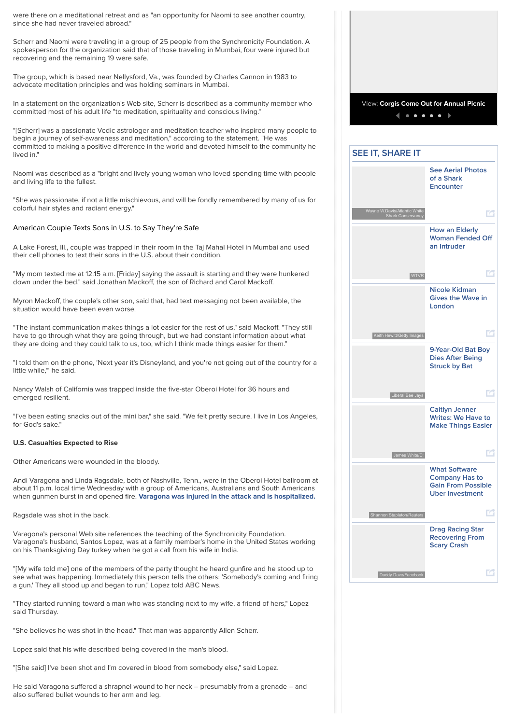were there on a meditational retreat and as "an opportunity for Naomi to see another country, since she had never traveled abroad."

Scherr and Naomi were traveling in a group of 25 people from the Synchronicity Foundation. A spokesperson for the organization said that of those traveling in Mumbai, four were injured but recovering and the remaining 19 were safe.

The group, which is based near Nellysford, Va., was founded by Charles Cannon in 1983 to advocate meditation principles and was holding seminars in Mumbai.

In a statement on the organization's Web site, Scherr is described as a community member who committed most of his adult life "to meditation, spirituality and conscious living."

"[Scherr] was a passionate Vedic astrologer and meditation teacher who inspired many people to begin a journey of self-awareness and meditation," according to the statement. "He was committed to making a positive difference in the world and devoted himself to the community he lived in."

Naomi was described as a "bright and lively young woman who loved spending time with people and living life to the fullest.

"She was passionate, if not a little mischievous, and will be fondly remembered by many of us for colorful hair styles and radiant energy."

### American Couple Texts Sons in U.S. to Say They're Safe

A Lake Forest, Ill., couple was trapped in their room in the Taj Mahal Hotel in Mumbai and used their cell phones to text their sons in the U.S. about their condition.

"My mom texted me at 12:15 a.m. [Friday] saying the assault is starting and they were hunkered down under the bed," said Jonathan Mackoff, the son of Richard and Carol Mackoff.

Myron Mackoff, the couple's other son, said that, had text messaging not been available, the situation would have been even worse.

"The instant communication makes things a lot easier for the rest of us," said Mackoff. "They still have to go through what they are going through, but we had constant information about what they are doing and they could talk to us, too, which I think made things easier for them."

"I told them on the phone, 'Next year it's Disneyland, and you're not going out of the country for a little while,'" he said.

Nancy Walsh of California was trapped inside the five-star Oberoi Hotel for 36 hours and emerged resilient.

"I've been eating snacks out of the mini bar," she said. "We felt pretty secure. I live in Los Angeles, for God's sake."

### **U.S. Casualties Expected to Rise**

Other Americans were wounded in the bloody.

Andi Varagona and Linda Ragsdale, both of Nashville, Tenn., were in the Oberoi Hotel ballroom at about 11 p.m. local time Wednesday with a group of Americans, Australians and South Americans when gunmen burst in and opened fire. **[Varagona was injured in the attack and is hospitalized.](http://abcnews.go.com/video/playerIndex?id=6353575)**

Ragsdale was shot in the back.

Varagona's personal Web site references the teaching of the Synchronicity Foundation. Varagona's husband, Santos Lopez, was at a family member's home in the United States working on his Thanksgiving Day turkey when he got a call from his wife in India.

"[My wife told me] one of the members of the party thought he heard gunfire and he stood up to see what was happening. Immediately this person tells the others: 'Somebody's coming and firing a gun.' They all stood up and began to run," Lopez told ABC News.

"They started running toward a man who was standing next to my wife, a friend of hers," Lopez said Thursday.

"She believes he was shot in the head." That man was apparently Allen Scherr.

Lopez said that his wife described being covered in the man's blood.

"[She said] I've been shot and I'm covered in blood from somebody else," said Lopez.

He said Varagona suffered a shrapnel wound to her neck – presumably from a grenade – and also suffered bullet wounds to her arm and leg.

| View: Corgis Come Out for Annual Picnic |                                                                                    |  |  |  |
|-----------------------------------------|------------------------------------------------------------------------------------|--|--|--|
|                                         | $\leftarrow$ $\rightarrow$ $\rightarrow$ $\rightarrow$ $\rightarrow$ $\rightarrow$ |  |  |  |

**SEE IT, SHARE IT [See Aerial Photos](http://abcnews.go.com/US/massachusetts-researchers-identify-great-white-sharks-close-shore/story?id=32853321) of a Shark Encounter** [Wayne W.Davis/Atlantic White](http://abcnews.go.com/US/massachusetts-researchers-identify-great-white-sharks-close-shore/story?id=32853321) m Shark Conservancy **How an Elderly [Woman Fended Off](http://abcnews.go.com/US/elderly-virginia-woman-finds-intruder-lying-bed/story?id=32848884) an Intruder** 商 **[WTVR](http://abcnews.go.com/US/elderly-virginia-woman-finds-intruder-lying-bed/story?id=32848884) Nicole Kidman [Gives the Wave in](http://abcnews.go.com/Entertainment/photos/august-top-celebrity-pictures-32761716) London** m [Keith Hewitt/Getty Images](http://abcnews.go.com/Entertainment/photos/august-top-celebrity-pictures-32761716) **[9-Year-Old Bat Boy](http://abcnews.go.com/US/kaiser-carlile-year-bat-boy-dies-struck-bat/story?id=32844695) Dies After Being Struck by Bat** m [Liberal Bee Jays](http://abcnews.go.com/US/kaiser-carlile-year-bat-boy-dies-struck-bat/story?id=32844695) **Caitlyn Jenner Writes: We Have to [Make Things Easier](http://abcnews.go.com/Entertainment/caitlyn-jenner-make-things-easier/story?id=32850454)** m [James White/E!](http://abcnews.go.com/Entertainment/caitlyn-jenner-make-things-easier/story?id=32850454) **What Software Company Has to [Gain From Possible](http://abcnews.go.com/Technology/microsoft-software-company-gain-reported-uber-investment/story?id=32852618) Uber Investment** m n Stapleton/Reuters **Drag Racing Star [Recovering From](http://abcnews.go.com/Sports/drag-racing-reality-star-daddy-dave-comstock-recovering/story?id=32844995) Scary Crash** Daddy Dave/Faceb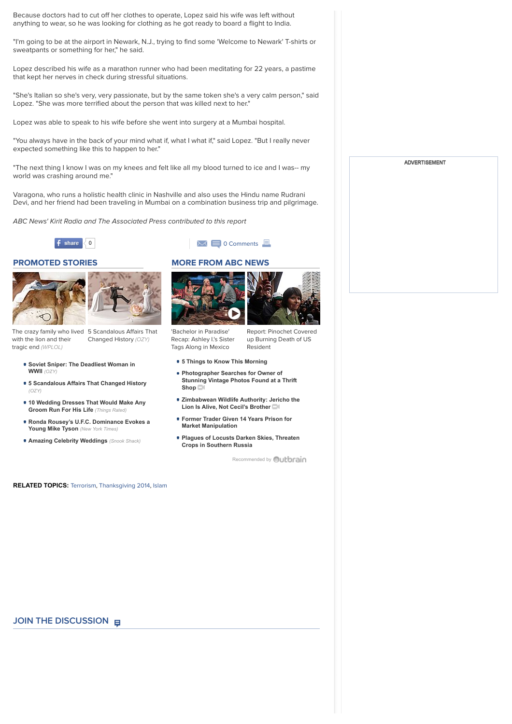Because doctors had to cut off her clothes to operate, Lopez said his wife was left without anything to wear, so he was looking for clothing as he got ready to board a flight to India.

"I'm going to be at the airport in Newark, N.J., trying to find some 'Welcome to Newark' T-shirts or sweatpants or something for her," he said.

Lopez described his wife as a marathon runner who had been meditating for 22 years, a pastime that kept her nerves in check during stressful situations.

"She's Italian so she's very, very passionate, but by the same token she's a very calm person," said Lopez. "She was more terrified about the person that was killed next to her."

Lopez was able to speak to his wife before she went into surgery at a Mumbai hospital.

"You always have in the back of your mind what if, what I what if," said Lopez. "But I really never expected something like this to happen to her."

"The next thing I know I was on my knees and felt like all my blood turned to ice and I was-- my world was crashing around me."

Varagona, who runs a holistic health clinic in Nashville and also uses the Hindu name Rudrani Devi, and her friend had been traveling in Mumbai on a combination business trip and pilgrimage.

ABC News' Kirit Radia and The Associated Press contributed to this report





The crazy family who lived 5 Scandalous Affairs That with the lion and their tragic end (WPLOL) Changed History (OZY)

- **[Soviet Sniper: The Deadliest Woman in](http://www.ozy.com/flashback/soviet-killer-supreme/38593?utm_source=Outbrain&utm_medium=CPC&utm_campaign=INTL%20-%20All%20Clicks%20ALL%20Devices) WWII** *(OZY)*
- **[5 Scandalous Affairs That Changed History](http://www.ozy.com/flashback/5-scandalous-affairs-that-changed-history/60923?utm_source=Outbrain&utm_medium=CPC&utm_campaign=INTL%20-%20All%20Clicks%20ALL%20Devices)** *(OZY)*
- **[10 Wedding Dresses That Would Make Any](http://thingsrated.com/2015/06/25/10-wedding-dresses-that-would-make-any-groom-run-for-his-life/?utm_source=outbrain&utm_medium=cpc&utm_campaign=outbrain_top10_DE&utm_term=972842) Groom Run For His Life** *(Things Rated)*
- **[Ronda Rousey's U.F.C. Dominance Evokes a](http://www.nytimes.com/2015/08/01/sports/ronda-rouseys-ufc-dominance-evokes-a-young-mike-tyson.html?WT.mc_id=2015-AUGUST-OTB-INTL_AUD_DEV-0801-0831&WT.mc_ev=click&ad-keywords=IntlAudDev) Young Mike Tyson** *(New York Times)*
- **[Amazing Celebrity Weddings](http://snookshack.com/amazing-celebrity-weddings/)** *(Snook Shack)*



 $\overline{\mathbb{M}}\equiv 0$  Comments  $\overline{\mathbb{H}}$ 



- Report: Pinochet Covered up Burning Death of US Resident
- **[5 Things to Know This Morning](http://abcnews.go.com/US/things-morning/story?id=32726669)**
- **Photographer Searches for Owner of [Stunning Vintage Photos Found at a Thrift](http://abcnews.go.com/US/photographer-searches-owner-stunning-vintage-photos-found-thrift/story?id=32808262) Shop**
- **[Zimbabwean Wildlife Authority: Jericho the](http://abcnews.go.com/International/cecil-lions-brother-jericho-shot-killed-zimbabwe-conservation/story?id=32826392) Lion Is Alive, Not Cecil's Brother**
- **[Former Trader Given 14 Years Prison for](http://abcnews.go.com/International/wireStory/uk-jury-trader-guilty-manipulating-key-interest-rate-32848952) Market Manipulation**
- **[Plagues of Locusts Darken Skies, Threaten](http://abcnews.go.com/International/plagues-locusts-darken-skies-threaten-crops-southern-russia/story?id=32778681) Crops in Southern Russia**

[Recommended by](http://abcnews.go.com/International/story?id=6353315&singlePage=true#) **Quitbrain** 

**RELATED TOPICS:** [Terrorism,](http://abcnews.go.com/topics/news/world/terrorism.htm) [Thanksgiving 2014](http://abcnews.go.com/topics/lifestyle/thanksgiving.htm), [Islam](http://abcnews.go.com/topics/lifestyle/islam-religion.htm)

# **JOIN THE DISCUSSION**

**ADVERTISEMENT**